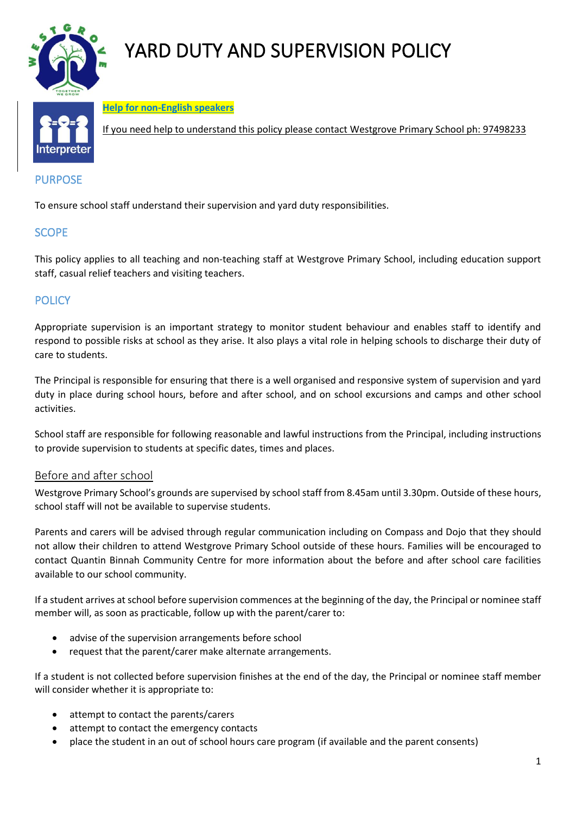

# YARD DUTY AND SUPERVISION POLICY



**Help for non-English speakers**

If you need help to understand this policy please contact Westgrove Primary School ph: 97498233

# PURPOSE

To ensure school staff understand their supervision and yard duty responsibilities.

# **SCOPE**

This policy applies to all teaching and non-teaching staff at Westgrove Primary School, including education support staff, casual relief teachers and visiting teachers.

## **POLICY**

Appropriate supervision is an important strategy to monitor student behaviour and enables staff to identify and respond to possible risks at school as they arise. It also plays a vital role in helping schools to discharge their duty of care to students.

The Principal is responsible for ensuring that there is a well organised and responsive system of supervision and yard duty in place during school hours, before and after school, and on school excursions and camps and other school activities.

School staff are responsible for following reasonable and lawful instructions from the Principal, including instructions to provide supervision to students at specific dates, times and places.

#### Before and after school

Westgrove Primary School's grounds are supervised by school staff from 8.45am until 3.30pm. Outside of these hours, school staff will not be available to supervise students.

Parents and carers will be advised through regular communication including on Compass and Dojo that they should not allow their children to attend Westgrove Primary School outside of these hours. Families will be encouraged to contact Quantin Binnah Community Centre for more information about the before and after school care facilities available to our school community.

If a student arrives at school before supervision commences at the beginning of the day, the Principal or nominee staff member will, as soon as practicable, follow up with the parent/carer to:

- advise of the supervision arrangements before school
- request that the parent/carer make alternate arrangements.

If a student is not collected before supervision finishes at the end of the day, the Principal or nominee staff member will consider whether it is appropriate to:

- attempt to contact the parents/carers
- attempt to contact the emergency contacts
- place the student in an out of school hours care program (if available and the parent consents)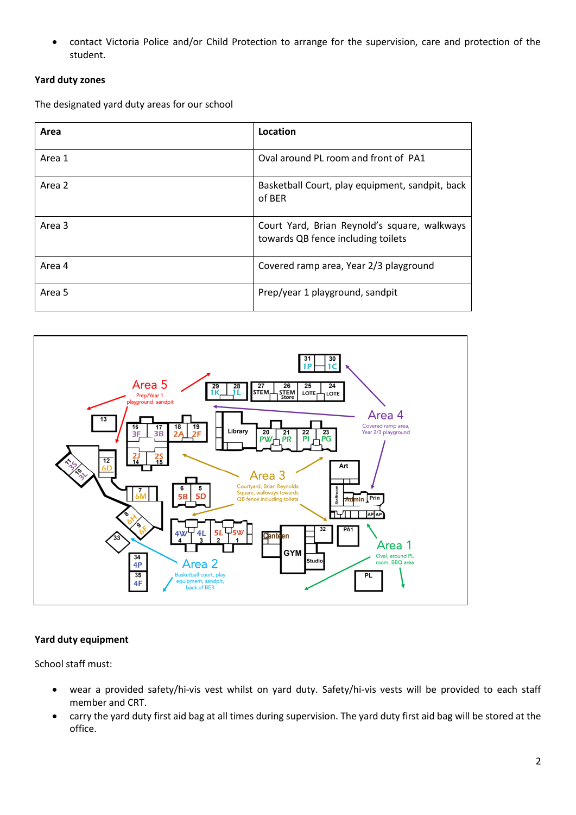• contact Victoria Police and/or Child Protection to arrange for the supervision, care and protection of the student.

#### **Yard duty zones**

The designated yard duty areas for our school

| Area   | Location                                                                           |
|--------|------------------------------------------------------------------------------------|
| Area 1 | Oval around PL room and front of PA1                                               |
| Area 2 | Basketball Court, play equipment, sandpit, back<br>of BER                          |
| Area 3 | Court Yard, Brian Reynold's square, walkways<br>towards QB fence including toilets |
| Area 4 | Covered ramp area, Year 2/3 playground                                             |
| Area 5 | Prep/year 1 playground, sandpit                                                    |



#### **Yard duty equipment**

School staff must:

- wear a provided safety/hi-vis vest whilst on yard duty. Safety/hi-vis vests will be provided to each staff member and CRT.
- carry the yard duty first aid bag at all times during supervision. The yard duty first aid bag will be stored at the office.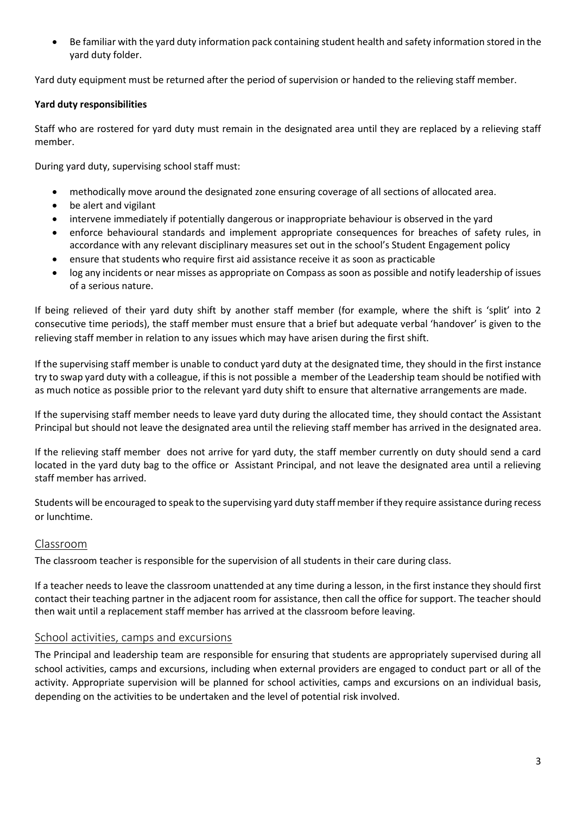• Be familiar with the yard duty information pack containing student health and safety information stored in the yard duty folder.

Yard duty equipment must be returned after the period of supervision or handed to the relieving staff member.

#### **Yard duty responsibilities**

Staff who are rostered for yard duty must remain in the designated area until they are replaced by a relieving staff member.

During yard duty, supervising school staff must:

- methodically move around the designated zone ensuring coverage of all sections of allocated area.
- be alert and vigilant
- intervene immediately if potentially dangerous or inappropriate behaviour is observed in the yard
- enforce behavioural standards and implement appropriate consequences for breaches of safety rules, in accordance with any relevant disciplinary measures set out in the school's Student Engagement policy
- ensure that students who require first aid assistance receive it as soon as practicable
- log any incidents or near misses as appropriate on Compass as soon as possible and notify leadership of issues of a serious nature.

If being relieved of their yard duty shift by another staff member (for example, where the shift is 'split' into 2 consecutive time periods), the staff member must ensure that a brief but adequate verbal 'handover' is given to the relieving staff member in relation to any issues which may have arisen during the first shift.

If the supervising staff member is unable to conduct yard duty at the designated time, they should in the first instance try to swap yard duty with a colleague, if this is not possible a member of the Leadership team should be notified with as much notice as possible prior to the relevant yard duty shift to ensure that alternative arrangements are made.

If the supervising staff member needs to leave yard duty during the allocated time, they should contact the Assistant Principal but should not leave the designated area until the relieving staff member has arrived in the designated area.

If the relieving staff member does not arrive for yard duty, the staff member currently on duty should send a card located in the yard duty bag to the office or Assistant Principal, and not leave the designated area until a relieving staff member has arrived.

Students will be encouraged to speak to the supervising yard duty staff member if they require assistance during recess or lunchtime.

## Classroom

The classroom teacher is responsible for the supervision of all students in their care during class.

If a teacher needs to leave the classroom unattended at any time during a lesson, in the first instance they should first contact their teaching partner in the adjacent room for assistance, then call the office for support. The teacher should then wait until a replacement staff member has arrived at the classroom before leaving.

## School activities, camps and excursions

The Principal and leadership team are responsible for ensuring that students are appropriately supervised during all school activities, camps and excursions, including when external providers are engaged to conduct part or all of the activity. Appropriate supervision will be planned for school activities, camps and excursions on an individual basis, depending on the activities to be undertaken and the level of potential risk involved.